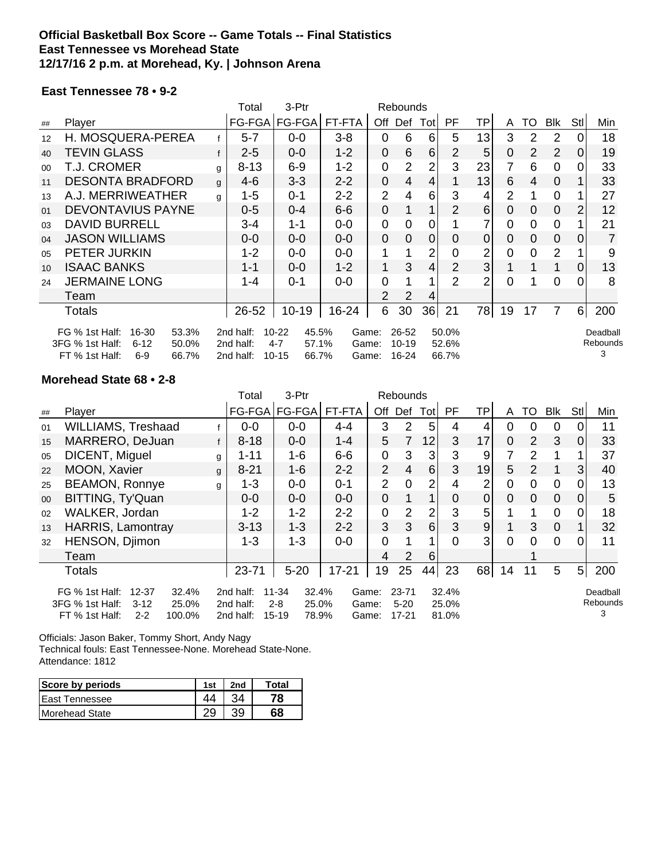### **Official Basketball Box Score -- Game Totals -- Final Statistics East Tennessee vs Morehead State 12/17/16 2 p.m. at Morehead, Ky. | Johnson Arena**

### **East Tennessee 78 • 9-2**

|                                                                                                  |                                  |           | Total              | 3-Ptr              |         | Rebounds       |                |             |          |                |                |                |                |                |          |
|--------------------------------------------------------------------------------------------------|----------------------------------|-----------|--------------------|--------------------|---------|----------------|----------------|-------------|----------|----------------|----------------|----------------|----------------|----------------|----------|
| ##                                                                                               | Player                           |           | FG-FGA             | FG-FGA             | FT-FTA  | Off            | Def            | Totl        | PF.      | ΤP             | A              | TO             | <b>Blk</b>     | Stll           | Min      |
| 12                                                                                               | H. MOSQUERA-PEREA                |           | $5 - 7$            | $0-0$              | $3 - 8$ | 0              | 6              | 6           | 5        | 13             | 3              | $\overline{2}$ | 2              | $\Omega$       | 18       |
| 40                                                                                               | TEVIN GLASS                      |           | $2 - 5$            | $0 - 0$            | $1 - 2$ | 0              | 6              | 6           | 2        | 5              | $\overline{0}$ | $\overline{2}$ | $\overline{2}$ | $\overline{0}$ | 19       |
| $00\,$                                                                                           | T.J. CROMER                      | g         | $8 - 13$           | $6 - 9$            | $1 - 2$ | 0              | $\overline{2}$ | 2           | 3        | 23             | 7              | 6              | 0              | $\Omega$       | 33       |
| 11                                                                                               | <b>DESONTA BRADFORD</b>          | g         | $4-6$              | $3 - 3$            | $2 - 2$ | 0              | $\overline{4}$ | 4           |          | 13             | 6              | 4              | $\Omega$       |                | 33       |
| 13                                                                                               | A.J. MERRIWEATHER                | g         | $1 - 5$            | $0 - 1$            | $2 - 2$ | $\overline{2}$ | 4              | 6           | 3        | 4              | 2              |                | 0              |                | 27       |
| 01                                                                                               | DEVONTAVIUS PAYNE                |           | $0 - 5$            | $0 - 4$            | $6-6$   | 0              |                | ◢           | 2        | 6              | 0              | $\Omega$       | $\overline{0}$ | 2 <sub>1</sub> | 12       |
| 03                                                                                               | <b>DAVID BURRELL</b>             |           | 3-4                | $1 - 1$            | $0-0$   | 0              | $\Omega$       | 0           |          |                | $\Omega$       | 0              | $\overline{0}$ |                | 21       |
| 04                                                                                               | <b>JASON WILLIAMS</b>            |           | $0-0$              | $0-0$              | $0-0$   | 0              | 0              | $\mathbf 0$ | $\Omega$ | 0              | 0              | $\Omega$       | $\overline{0}$ | $\Omega$       | 7        |
| 05                                                                                               | PETER JURKIN                     |           | $1 - 2$            | $0-0$              | $0-0$   | 1              |                | 2           | 0        | 2              | 0              | 0              | 2              |                | 9        |
| 10                                                                                               | <b>ISAAC BANKS</b>               |           | 1-1                | $0-0$              | $1 - 2$ | 1              | 3              | 4           | 2        | $\overline{3}$ |                |                | 1              | $\Omega$       | 13       |
| 24                                                                                               | <b>JERMAINE LONG</b>             |           | 1-4                | $0 - 1$            | $0 - 0$ | 0              |                |             | 2        | 2              | $\Omega$       |                | 0              | $\Omega$       | 8        |
|                                                                                                  | Team                             |           |                    |                    |         | 2              | 2              | 4           |          |                |                |                |                |                |          |
|                                                                                                  | Totals                           |           | 26-52              | $10 - 19$          | 16-24   | 6              | 30             | 36          | 21       | 78             | 19             | 17             | 7              | 6 <sup>1</sup> | 200      |
|                                                                                                  | FG % 1st Half:<br>53.3%<br>16-30 |           | 2nd half:          | $10 - 22$<br>45.5% | Game:   |                | 26-52          |             | 50.0%    |                |                |                |                |                | Deadball |
| 3FG % 1st Half:<br>$6 - 12$<br>50.0%<br>2nd half:<br>57.1%<br>$10 - 19$<br>52.6%<br>4-7<br>Game: |                                  |           |                    |                    |         |                | Rebounds<br>3  |             |          |                |                |                |                |                |          |
|                                                                                                  | FT % 1st Half:<br>$6-9$<br>66.7% | 2nd half: | $10 - 15$<br>66.7% | Game:              |         | 16-24          |                | 66.7%       |          |                |                |                |                |                |          |

### **Morehead State 68 • 2-8**

|                                                                                                                                                                                                                                                     |                           |   | Total    | 3-Ptr    |           | Rebounds                   |                |                         |                |                  |                |                |                |                           |     |
|-----------------------------------------------------------------------------------------------------------------------------------------------------------------------------------------------------------------------------------------------------|---------------------------|---|----------|----------|-----------|----------------------------|----------------|-------------------------|----------------|------------------|----------------|----------------|----------------|---------------------------|-----|
| ##                                                                                                                                                                                                                                                  | Player                    |   | FG-FGA   | FG-FGA   | FT-FTA    | Off                        | Def            | Tot                     | PF             | TP               | A              | TO             | Blk            | Stl                       | Min |
| 01                                                                                                                                                                                                                                                  | <b>WILLIAMS, Treshaad</b> |   | $0-0$    | $0-0$    | $4 - 4$   | 3                          | $\overline{2}$ | 5                       | 4              | 4                | 0              | 0              | $\overline{0}$ |                           | 11  |
| 15                                                                                                                                                                                                                                                  | MARRERO, DeJuan           | f | $8 - 18$ | $0 - 0$  | $1 - 4$   | 5                          | 7              | 12                      | 3              | 17               | $\overline{0}$ | $\overline{2}$ | 3              | $\Omega$                  | 33  |
| 05                                                                                                                                                                                                                                                  | DICENT, Miguel            | g | $1 - 11$ | $1 - 6$  | $6-6$     | 0                          | 3              | 3                       | 3              | 9                | 7              | $\overline{2}$ |                |                           | 37  |
| 22                                                                                                                                                                                                                                                  | MOON, Xavier              | g | $8 - 21$ | $1 - 6$  | $2 - 2$   | $\overline{2}$             | $\overline{4}$ | $6 \mid$                | 3              | 19               | 5              | 2              |                | 3 <sub>l</sub>            | 40  |
| 25                                                                                                                                                                                                                                                  | <b>BEAMON, Ronnye</b>     | g | $1 - 3$  | $0-0$    | $0 - 1$   | $\overline{2}$             | $\overline{0}$ | $\overline{2}$          | $\overline{4}$ | 2                | $\overline{0}$ | $\mathbf 0$    | $\mathbf 0$    | 0                         | 13  |
| 00                                                                                                                                                                                                                                                  | BITTING, Ty'Quan          |   | $0 - 0$  | $0 - 0$  | $0 - 0$   | $\overline{0}$             |                |                         | $\Omega$       | $\overline{0}$   | 0              | $\overline{0}$ | $\overline{0}$ | <sup>O</sup>              | 5   |
| 02                                                                                                                                                                                                                                                  | WALKER, Jordan            |   | $1 - 2$  | $1 - 2$  | $2 - 2$   | $\mathbf 0$                | $\overline{2}$ | $\overline{2}$          | 3              | 5                |                |                | $\mathbf 0$    | $\overline{0}$            | 18  |
| 13                                                                                                                                                                                                                                                  | <b>HARRIS, Lamontray</b>  |   | $3 - 13$ | $1 - 3$  | $2 - 2$   | 3                          | 3              | $6 \mid$                | 3              | $\boldsymbol{9}$ |                | 3              | $\mathbf 0$    |                           | 32  |
| 32                                                                                                                                                                                                                                                  | HENSON, Djimon            |   | $1 - 3$  | $1 - 3$  | $0-0$     | $\overline{0}$             |                |                         | $\overline{0}$ | $\mathbf{3}$     | $\Omega$       | $\Omega$       | $\Omega$       | $\Omega$                  | 11  |
|                                                                                                                                                                                                                                                     | Team                      |   |          |          |           | 4                          | 2              | 6                       |                |                  |                |                |                |                           |     |
|                                                                                                                                                                                                                                                     | Totals                    |   | 23-71    | $5 - 20$ | $17 - 21$ | 19                         | 25             | 44                      | 23             | 68               | 14             | 11             | 5              | 5 <sup>1</sup>            | 200 |
| FG % 1st Half:<br>$12 - 37$<br>32.4%<br>2nd half:<br>$11 - 34$<br>32.4%<br>Game:<br>3FG % 1st Half:<br>25.0%<br>$2 - 8$<br>25.0%<br>$3-12$<br>2nd half:<br>Game:<br>FT % 1st Half:<br>2nd half:<br>100.0%<br>$15 - 19$<br>78.9%<br>$2 - 2$<br>Game: |                           |   |          |          |           | 23-71<br>$5 - 20$<br>17-21 |                | 32.4%<br>25.0%<br>81.0% |                |                  |                |                |                | Deadball<br>Rebounds<br>3 |     |

Officials: Jason Baker, Tommy Short, Andy Nagy

Technical fouls: East Tennessee-None. Morehead State-None. Attendance: 1812

| Score by periods        | 1st | 2nd | Total |
|-------------------------|-----|-----|-------|
| <b>I East Tennessee</b> |     |     | 78    |
| <b>IMorehead State</b>  |     | າດ  | 68    |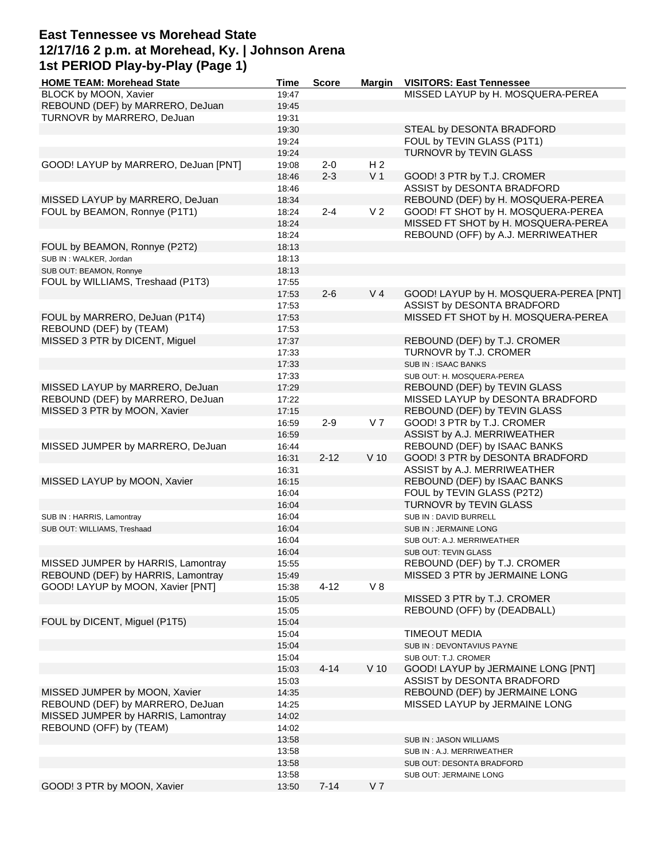## **East Tennessee vs Morehead State 12/17/16 2 p.m. at Morehead, Ky. | Johnson Arena 1st PERIOD Play-by-Play (Page 1)**

| <b>HOME TEAM: Morehead State</b>     | Time  | <b>Score</b> | <b>Margin</b>  | <b>VISITORS: East Tennessee</b>        |
|--------------------------------------|-------|--------------|----------------|----------------------------------------|
| BLOCK by MOON, Xavier                | 19:47 |              |                | MISSED LAYUP by H. MOSQUERA-PEREA      |
| REBOUND (DEF) by MARRERO, DeJuan     | 19:45 |              |                |                                        |
| TURNOVR by MARRERO, DeJuan           | 19:31 |              |                |                                        |
|                                      | 19:30 |              |                | STEAL by DESONTA BRADFORD              |
|                                      | 19:24 |              |                | FOUL by TEVIN GLASS (P1T1)             |
|                                      |       |              |                |                                        |
|                                      | 19:24 |              |                | TURNOVR by TEVIN GLASS                 |
| GOOD! LAYUP by MARRERO, DeJuan [PNT] | 19:08 | $2 - 0$      | H <sub>2</sub> |                                        |
|                                      | 18:46 | $2 - 3$      | V <sub>1</sub> | GOOD! 3 PTR by T.J. CROMER             |
|                                      | 18:46 |              |                | ASSIST by DESONTA BRADFORD             |
| MISSED LAYUP by MARRERO, DeJuan      | 18:34 |              |                | REBOUND (DEF) by H. MOSQUERA-PEREA     |
| FOUL by BEAMON, Ronnye (P1T1)        | 18:24 | $2 - 4$      | V <sub>2</sub> | GOOD! FT SHOT by H. MOSQUERA-PEREA     |
|                                      | 18:24 |              |                | MISSED FT SHOT by H. MOSQUERA-PEREA    |
|                                      | 18:24 |              |                | REBOUND (OFF) by A.J. MERRIWEATHER     |
| FOUL by BEAMON, Ronnye (P2T2)        | 18:13 |              |                |                                        |
| SUB IN : WALKER, Jordan              | 18:13 |              |                |                                        |
| SUB OUT: BEAMON, Ronnye              | 18:13 |              |                |                                        |
| FOUL by WILLIAMS, Treshaad (P1T3)    |       |              |                |                                        |
|                                      | 17:55 |              |                |                                        |
|                                      | 17:53 | $2 - 6$      | V <sub>4</sub> | GOOD! LAYUP by H. MOSQUERA-PEREA [PNT] |
|                                      | 17:53 |              |                | ASSIST by DESONTA BRADFORD             |
| FOUL by MARRERO, DeJuan (P1T4)       | 17:53 |              |                | MISSED FT SHOT by H. MOSQUERA-PEREA    |
| REBOUND (DEF) by (TEAM)              | 17:53 |              |                |                                        |
| MISSED 3 PTR by DICENT, Miguel       | 17:37 |              |                | REBOUND (DEF) by T.J. CROMER           |
|                                      | 17:33 |              |                | TURNOVR by T.J. CROMER                 |
|                                      | 17:33 |              |                | SUB IN: ISAAC BANKS                    |
|                                      | 17:33 |              |                | SUB OUT: H. MOSQUERA-PEREA             |
| MISSED LAYUP by MARRERO, DeJuan      | 17:29 |              |                | REBOUND (DEF) by TEVIN GLASS           |
| REBOUND (DEF) by MARRERO, DeJuan     | 17:22 |              |                | MISSED LAYUP by DESONTA BRADFORD       |
|                                      |       |              |                |                                        |
| MISSED 3 PTR by MOON, Xavier         | 17:15 |              |                | REBOUND (DEF) by TEVIN GLASS           |
|                                      | 16:59 | $2 - 9$      | V <sub>7</sub> | GOOD! 3 PTR by T.J. CROMER             |
|                                      | 16:59 |              |                | ASSIST by A.J. MERRIWEATHER            |
| MISSED JUMPER by MARRERO, DeJuan     | 16:44 |              |                | REBOUND (DEF) by ISAAC BANKS           |
|                                      | 16:31 | $2 - 12$     | $V$ 10         | GOOD! 3 PTR by DESONTA BRADFORD        |
|                                      | 16:31 |              |                | ASSIST by A.J. MERRIWEATHER            |
| MISSED LAYUP by MOON, Xavier         | 16:15 |              |                | REBOUND (DEF) by ISAAC BANKS           |
|                                      | 16:04 |              |                | FOUL by TEVIN GLASS (P2T2)             |
|                                      | 16:04 |              |                | TURNOVR by TEVIN GLASS                 |
| SUB IN: HARRIS, Lamontray            | 16:04 |              |                | SUB IN: DAVID BURRELL                  |
| SUB OUT: WILLIAMS, Treshaad          | 16:04 |              |                | SUB IN: JERMAINE LONG                  |
|                                      | 16:04 |              |                |                                        |
|                                      |       |              |                | SUB OUT: A.J. MERRIWEATHER             |
|                                      | 16:04 |              |                | SUB OUT: TEVIN GLASS                   |
| MISSED JUMPER by HARRIS, Lamontray   | 15:55 |              |                | REBOUND (DEF) by T.J. CROMER           |
| REBOUND (DEF) by HARRIS, Lamontray   | 15:49 |              |                | MISSED 3 PTR by JERMAINE LONG          |
| GOOD! LAYUP by MOON, Xavier [PNT]    | 15:38 | $4 - 12$     | V8             |                                        |
|                                      | 15:05 |              |                | MISSED 3 PTR by T.J. CROMER            |
|                                      | 15:05 |              |                | REBOUND (OFF) by (DEADBALL)            |
| FOUL by DICENT, Miguel (P1T5)        | 15:04 |              |                |                                        |
|                                      | 15:04 |              |                | <b>TIMEOUT MEDIA</b>                   |
|                                      | 15:04 |              |                | SUB IN : DEVONTAVIUS PAYNE             |
|                                      | 15:04 |              |                | SUB OUT: T.J. CROMER                   |
|                                      | 15:03 | $4 - 14$     | $V$ 10         | GOOD! LAYUP by JERMAINE LONG [PNT]     |
|                                      |       |              |                | ASSIST by DESONTA BRADFORD             |
|                                      | 15:03 |              |                |                                        |
| MISSED JUMPER by MOON, Xavier        | 14:35 |              |                | REBOUND (DEF) by JERMAINE LONG         |
| REBOUND (DEF) by MARRERO, DeJuan     | 14:25 |              |                | MISSED LAYUP by JERMAINE LONG          |
| MISSED JUMPER by HARRIS, Lamontray   | 14:02 |              |                |                                        |
| REBOUND (OFF) by (TEAM)              | 14:02 |              |                |                                        |
|                                      | 13:58 |              |                | SUB IN: JASON WILLIAMS                 |
|                                      | 13:58 |              |                | SUB IN: A.J. MERRIWEATHER              |
|                                      | 13:58 |              |                | SUB OUT: DESONTA BRADFORD              |
|                                      | 13:58 |              |                | SUB OUT: JERMAINE LONG                 |
| GOOD! 3 PTR by MOON, Xavier          | 13:50 | $7 - 14$     | V <sub>7</sub> |                                        |
|                                      |       |              |                |                                        |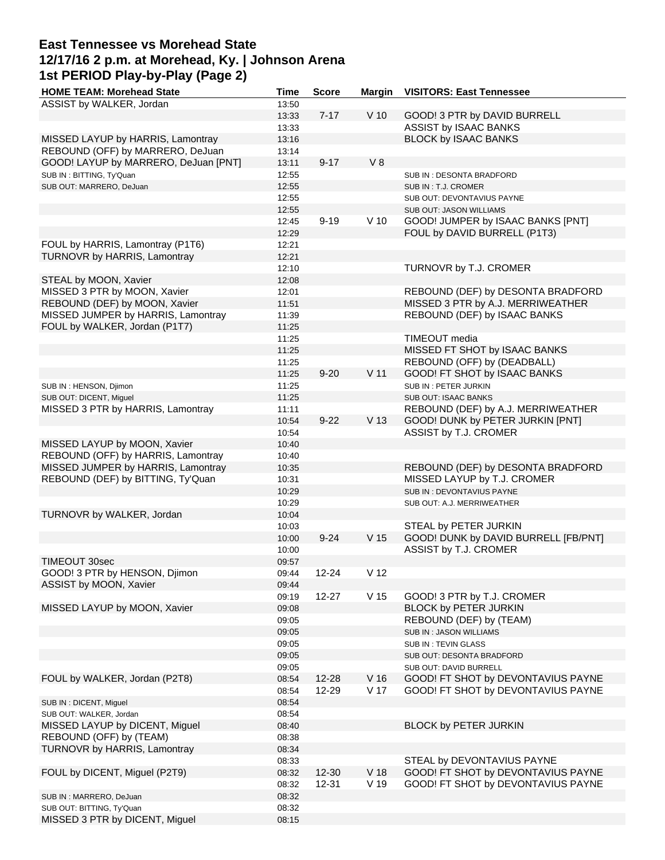## **East Tennessee vs Morehead State 12/17/16 2 p.m. at Morehead, Ky. | Johnson Arena 1st PERIOD Play-by-Play (Page 2)**

| <b>HOME TEAM: Morehead State</b>     | <b>Time</b> | <b>Score</b> | <b>Margin</b>   | <b>VISITORS: East Tennessee</b>      |
|--------------------------------------|-------------|--------------|-----------------|--------------------------------------|
| ASSIST by WALKER, Jordan             | 13:50       |              |                 |                                      |
|                                      | 13:33       | $7 - 17$     | $V$ 10          | GOOD! 3 PTR by DAVID BURRELL         |
|                                      | 13:33       |              |                 | ASSIST by ISAAC BANKS                |
| MISSED LAYUP by HARRIS, Lamontray    | 13:16       |              |                 | <b>BLOCK by ISAAC BANKS</b>          |
| REBOUND (OFF) by MARRERO, DeJuan     | 13:14       |              |                 |                                      |
| GOOD! LAYUP by MARRERO, DeJuan [PNT] | 13:11       | $9 - 17$     | V8              |                                      |
| SUB IN: BITTING, Ty'Quan             | 12:55       |              |                 | SUB IN: DESONTA BRADFORD             |
|                                      |             |              |                 |                                      |
| SUB OUT: MARRERO, DeJuan             | 12:55       |              |                 | SUB IN : T.J. CROMER                 |
|                                      | 12:55       |              |                 | SUB OUT: DEVONTAVIUS PAYNE           |
|                                      | 12:55       |              |                 | SUB OUT: JASON WILLIAMS              |
|                                      | 12:45       | $9 - 19$     | $V$ 10          | GOOD! JUMPER by ISAAC BANKS [PNT]    |
|                                      | 12:29       |              |                 | FOUL by DAVID BURRELL (P1T3)         |
| FOUL by HARRIS, Lamontray (P1T6)     | 12:21       |              |                 |                                      |
| TURNOVR by HARRIS, Lamontray         | 12:21       |              |                 |                                      |
|                                      | 12:10       |              |                 | TURNOVR by T.J. CROMER               |
| STEAL by MOON, Xavier                | 12:08       |              |                 |                                      |
| MISSED 3 PTR by MOON, Xavier         | 12:01       |              |                 | REBOUND (DEF) by DESONTA BRADFORD    |
| REBOUND (DEF) by MOON, Xavier        | 11:51       |              |                 | MISSED 3 PTR by A.J. MERRIWEATHER    |
| MISSED JUMPER by HARRIS, Lamontray   | 11:39       |              |                 | REBOUND (DEF) by ISAAC BANKS         |
| FOUL by WALKER, Jordan (P1T7)        | 11:25       |              |                 |                                      |
|                                      |             |              |                 |                                      |
|                                      | 11:25       |              |                 | TIMEOUT media                        |
|                                      | 11:25       |              |                 | MISSED FT SHOT by ISAAC BANKS        |
|                                      | 11:25       |              |                 | REBOUND (OFF) by (DEADBALL)          |
|                                      | 11:25       | $9 - 20$     | V <sub>11</sub> | GOOD! FT SHOT by ISAAC BANKS         |
| SUB IN : HENSON, Djimon              | 11:25       |              |                 | SUB IN: PETER JURKIN                 |
| SUB OUT: DICENT, Miguel              | 11:25       |              |                 | <b>SUB OUT: ISAAC BANKS</b>          |
| MISSED 3 PTR by HARRIS, Lamontray    | 11:11       |              |                 | REBOUND (DEF) by A.J. MERRIWEATHER   |
|                                      | 10:54       | $9 - 22$     | V <sub>13</sub> | GOOD! DUNK by PETER JURKIN [PNT]     |
|                                      | 10:54       |              |                 | ASSIST by T.J. CROMER                |
| MISSED LAYUP by MOON, Xavier         | 10:40       |              |                 |                                      |
| REBOUND (OFF) by HARRIS, Lamontray   | 10:40       |              |                 |                                      |
| MISSED JUMPER by HARRIS, Lamontray   | 10:35       |              |                 | REBOUND (DEF) by DESONTA BRADFORD    |
|                                      |             |              |                 |                                      |
| REBOUND (DEF) by BITTING, Ty'Quan    | 10:31       |              |                 | MISSED LAYUP by T.J. CROMER          |
|                                      | 10:29       |              |                 | SUB IN: DEVONTAVIUS PAYNE            |
|                                      | 10:29       |              |                 | SUB OUT: A.J. MERRIWEATHER           |
| TURNOVR by WALKER, Jordan            | 10:04       |              |                 |                                      |
|                                      | 10:03       |              |                 | STEAL by PETER JURKIN                |
|                                      | 10:00       | $9 - 24$     | V <sub>15</sub> | GOOD! DUNK by DAVID BURRELL [FB/PNT] |
|                                      | 10:00       |              |                 | ASSIST by T.J. CROMER                |
| TIMEOUT 30sec                        | 09:57       |              |                 |                                      |
| GOOD! 3 PTR by HENSON, Djimon        | 09:44       | 12-24        | V <sub>12</sub> |                                      |
| ASSIST by MOON, Xavier               | 09:44       |              |                 |                                      |
|                                      | 09:19       | $12 - 27$    | V <sub>15</sub> | GOOD! 3 PTR by T.J. CROMER           |
| MISSED LAYUP by MOON, Xavier         | 09:08       |              |                 | BLOCK by PETER JURKIN                |
|                                      | 09:05       |              |                 | REBOUND (DEF) by (TEAM)              |
|                                      | 09:05       |              |                 | SUB IN: JASON WILLIAMS               |
|                                      | 09:05       |              |                 | SUB IN: TEVIN GLASS                  |
|                                      | 09:05       |              |                 | SUB OUT: DESONTA BRADFORD            |
|                                      | 09:05       |              |                 | SUB OUT: DAVID BURRELL               |
| FOUL by WALKER, Jordan (P2T8)        | 08:54       | 12-28        | V <sub>16</sub> | GOOD! FT SHOT by DEVONTAVIUS PAYNE   |
|                                      |             |              | V 17            |                                      |
|                                      | 08:54       | 12-29        |                 | GOOD! FT SHOT by DEVONTAVIUS PAYNE   |
| SUB IN : DICENT, Miguel              | 08:54       |              |                 |                                      |
| SUB OUT: WALKER, Jordan              | 08:54       |              |                 |                                      |
| MISSED LAYUP by DICENT, Miguel       | 08:40       |              |                 | BLOCK by PETER JURKIN                |
| REBOUND (OFF) by (TEAM)              | 08:38       |              |                 |                                      |
| TURNOVR by HARRIS, Lamontray         | 08:34       |              |                 |                                      |
|                                      | 08:33       |              |                 | STEAL by DEVONTAVIUS PAYNE           |
| FOUL by DICENT, Miguel (P2T9)        | 08:32       | $12 - 30$    | V <sub>18</sub> | GOOD! FT SHOT by DEVONTAVIUS PAYNE   |
|                                      | 08:32       | 12-31        | V 19            | GOOD! FT SHOT by DEVONTAVIUS PAYNE   |
| SUB IN : MARRERO, DeJuan             | 08:32       |              |                 |                                      |
| SUB OUT: BITTING, Ty'Quan            | 08:32       |              |                 |                                      |
| MISSED 3 PTR by DICENT, Miguel       | 08:15       |              |                 |                                      |
|                                      |             |              |                 |                                      |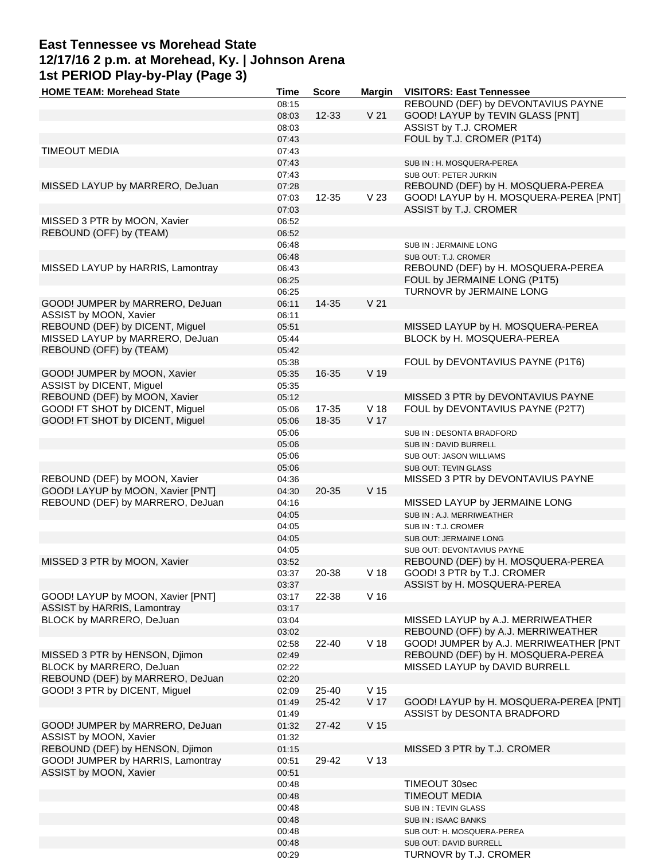# **East Tennessee vs Morehead State 12/17/16 2 p.m. at Morehead, Ky. | Johnson Arena 1st PERIOD Play-by-Play (Page 3)**

| <b>HOME TEAM: Morehead State</b>  | Time  | <b>Score</b> | <b>Margin</b>   | <b>VISITORS: East Tennessee</b>        |
|-----------------------------------|-------|--------------|-----------------|----------------------------------------|
|                                   | 08:15 |              |                 | REBOUND (DEF) by DEVONTAVIUS PAYNE     |
|                                   | 08:03 | $12 - 33$    | V <sub>21</sub> | GOOD! LAYUP by TEVIN GLASS [PNT]       |
|                                   | 08:03 |              |                 | ASSIST by T.J. CROMER                  |
|                                   | 07:43 |              |                 | FOUL by T.J. CROMER (P1T4)             |
| <b>TIMEOUT MEDIA</b>              | 07:43 |              |                 |                                        |
|                                   | 07:43 |              |                 | SUB IN: H. MOSQUERA-PEREA              |
|                                   | 07:43 |              |                 | SUB OUT: PETER JURKIN                  |
| MISSED LAYUP by MARRERO, DeJuan   | 07:28 |              |                 | REBOUND (DEF) by H. MOSQUERA-PEREA     |
|                                   |       | 12-35        | V <sub>23</sub> |                                        |
|                                   | 07:03 |              |                 | GOOD! LAYUP by H. MOSQUERA-PEREA [PNT] |
|                                   | 07:03 |              |                 | ASSIST by T.J. CROMER                  |
| MISSED 3 PTR by MOON, Xavier      | 06:52 |              |                 |                                        |
| REBOUND (OFF) by (TEAM)           | 06:52 |              |                 |                                        |
|                                   | 06:48 |              |                 | SUB IN: JERMAINE LONG                  |
|                                   | 06:48 |              |                 | SUB OUT: T.J. CROMER                   |
| MISSED LAYUP by HARRIS, Lamontray | 06:43 |              |                 | REBOUND (DEF) by H. MOSQUERA-PEREA     |
|                                   | 06:25 |              |                 | FOUL by JERMAINE LONG (P1T5)           |
|                                   | 06:25 |              |                 | TURNOVR by JERMAINE LONG               |
| GOOD! JUMPER by MARRERO, DeJuan   | 06:11 | 14-35        | V <sub>21</sub> |                                        |
| ASSIST by MOON, Xavier            | 06:11 |              |                 |                                        |
| REBOUND (DEF) by DICENT, Miguel   | 05:51 |              |                 | MISSED LAYUP by H. MOSQUERA-PEREA      |
| MISSED LAYUP by MARRERO, DeJuan   | 05:44 |              |                 | BLOCK by H. MOSQUERA-PEREA             |
| REBOUND (OFF) by (TEAM)           | 05:42 |              |                 |                                        |
|                                   | 05:38 |              |                 | FOUL by DEVONTAVIUS PAYNE (P1T6)       |
|                                   |       |              | V 19            |                                        |
| GOOD! JUMPER by MOON, Xavier      | 05:35 | 16-35        |                 |                                        |
| ASSIST by DICENT, Miguel          | 05:35 |              |                 |                                        |
| REBOUND (DEF) by MOON, Xavier     | 05:12 |              |                 | MISSED 3 PTR by DEVONTAVIUS PAYNE      |
| GOOD! FT SHOT by DICENT, Miguel   | 05:06 | 17-35        | V <sub>18</sub> | FOUL by DEVONTAVIUS PAYNE (P2T7)       |
| GOOD! FT SHOT by DICENT, Miguel   | 05:06 | 18-35        | V 17            |                                        |
|                                   | 05:06 |              |                 | SUB IN: DESONTA BRADFORD               |
|                                   | 05:06 |              |                 | SUB IN: DAVID BURRELL                  |
|                                   | 05:06 |              |                 | SUB OUT: JASON WILLIAMS                |
|                                   | 05:06 |              |                 | SUB OUT: TEVIN GLASS                   |
| REBOUND (DEF) by MOON, Xavier     | 04:36 |              |                 | MISSED 3 PTR by DEVONTAVIUS PAYNE      |
| GOOD! LAYUP by MOON, Xavier [PNT] | 04:30 | 20-35        | V <sub>15</sub> |                                        |
| REBOUND (DEF) by MARRERO, DeJuan  | 04:16 |              |                 | MISSED LAYUP by JERMAINE LONG          |
|                                   | 04:05 |              |                 | SUB IN: A.J. MERRIWEATHER              |
|                                   | 04:05 |              |                 | SUB IN : T.J. CROMER                   |
|                                   | 04:05 |              |                 | SUB OUT: JERMAINE LONG                 |
|                                   | 04:05 |              |                 | SUB OUT: DEVONTAVIUS PAYNE             |
|                                   |       |              |                 |                                        |
| MISSED 3 PTR by MOON, Xavier      | 03:52 |              |                 | REBOUND (DEF) by H. MOSQUERA-PEREA     |
|                                   | 03:37 | 20-38        | V <sub>18</sub> | GOOD! 3 PTR by T.J. CROMER             |
|                                   | 03:37 |              |                 | ASSIST by H. MOSQUERA-PEREA            |
| GOOD! LAYUP by MOON, Xavier [PNT] | 03:17 | 22-38        | V <sub>16</sub> |                                        |
| ASSIST by HARRIS, Lamontray       | 03:17 |              |                 |                                        |
| BLOCK by MARRERO, DeJuan          | 03:04 |              |                 | MISSED LAYUP by A.J. MERRIWEATHER      |
|                                   | 03:02 |              |                 | REBOUND (OFF) by A.J. MERRIWEATHER     |
|                                   | 02:58 | 22-40        | V <sub>18</sub> | GOOD! JUMPER by A.J. MERRIWEATHER [PNT |
| MISSED 3 PTR by HENSON, Djimon    | 02:49 |              |                 | REBOUND (DEF) by H. MOSQUERA-PEREA     |
| BLOCK by MARRERO, DeJuan          | 02:22 |              |                 | MISSED LAYUP by DAVID BURRELL          |
| REBOUND (DEF) by MARRERO, DeJuan  | 02:20 |              |                 |                                        |
| GOOD! 3 PTR by DICENT, Miguel     | 02:09 | 25-40        | V 15            |                                        |
|                                   | 01:49 | 25-42        | V 17            | GOOD! LAYUP by H. MOSQUERA-PEREA [PNT] |
|                                   | 01:49 |              |                 | ASSIST by DESONTA BRADFORD             |
| GOOD! JUMPER by MARRERO, DeJuan   | 01:32 | $27 - 42$    | V <sub>15</sub> |                                        |
| ASSIST by MOON, Xavier            | 01:32 |              |                 |                                        |
|                                   |       |              |                 |                                        |
| REBOUND (DEF) by HENSON, Djimon   | 01:15 |              |                 | MISSED 3 PTR by T.J. CROMER            |
| GOOD! JUMPER by HARRIS, Lamontray | 00:51 | 29-42        | V <sub>13</sub> |                                        |
| ASSIST by MOON, Xavier            | 00:51 |              |                 |                                        |
|                                   | 00:48 |              |                 | TIMEOUT 30sec                          |
|                                   | 00:48 |              |                 | <b>TIMEOUT MEDIA</b>                   |
|                                   | 00:48 |              |                 | SUB IN: TEVIN GLASS                    |
|                                   | 00:48 |              |                 | SUB IN : ISAAC BANKS                   |
|                                   | 00:48 |              |                 | SUB OUT: H. MOSQUERA-PEREA             |
|                                   | 00:48 |              |                 | SUB OUT: DAVID BURRELL                 |
|                                   | 00:29 |              |                 | TURNOVR by T.J. CROMER                 |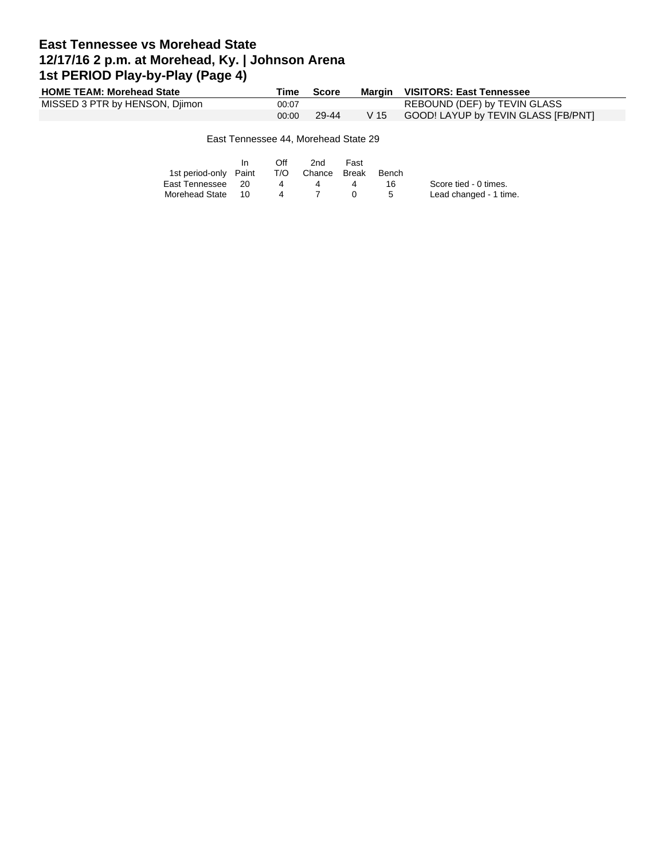## **East Tennessee vs Morehead State 12/17/16 2 p.m. at Morehead, Ky. | Johnson Arena 1st PERIOD Play-by-Play (Page 4)**

| <b>HOME TEAM: Morehead State</b> | Time  | <b>Score</b> |      | Margin VISITORS: East Tennessee     |
|----------------------------------|-------|--------------|------|-------------------------------------|
| MISSED 3 PTR by HENSON, Djimon   | 00:07 |              |      | REBOUND (DEF) by TEVIN GLASS        |
|                                  | 00:00 | 29-44        | V 15 | GOOD! LAYUP by TEVIN GLASS [FB/PNT] |
|                                  |       |              |      |                                     |

#### East Tennessee 44, Morehead State 29

|                       |      | Off          | 2nd          | Fast |       |                        |
|-----------------------|------|--------------|--------------|------|-------|------------------------|
| 1st period-only Paint |      | T/O          | Chance Break |      | Bench |                        |
| East Tennessee        | - 20 |              |              |      | 16.   | Score tied - 0 times.  |
| Morehead State        | 10   | $\mathbf{A}$ |              |      | .5    | Lead changed - 1 time. |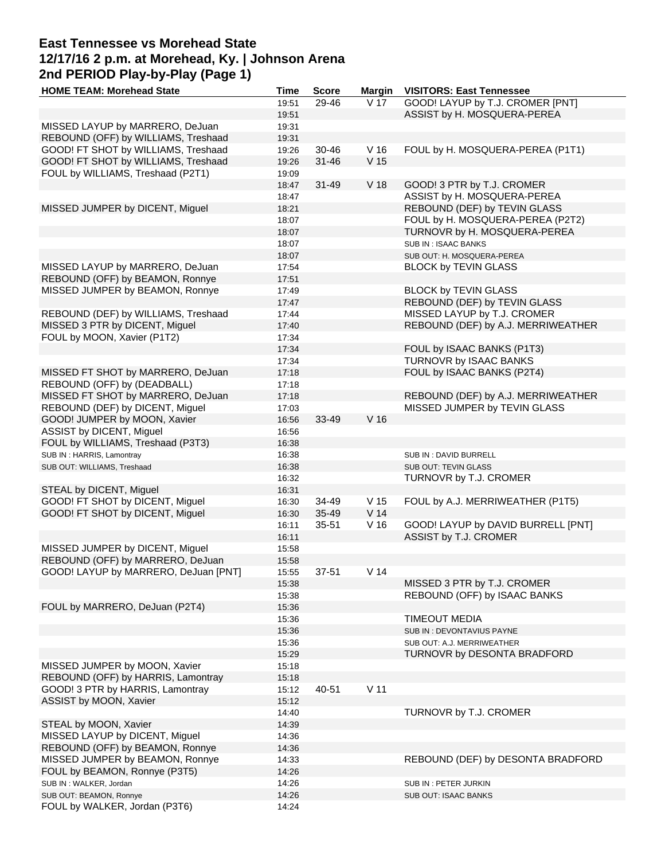# **East Tennessee vs Morehead State 12/17/16 2 p.m. at Morehead, Ky. | Johnson Arena 2nd PERIOD Play-by-Play (Page 1)**

| <b>HOME TEAM: Morehead State</b>     | Time  | <b>Score</b> | <b>Margin</b>   | <b>VISITORS: East Tennessee</b>    |
|--------------------------------------|-------|--------------|-----------------|------------------------------------|
|                                      | 19:51 | 29-46        | V 17            | GOOD! LAYUP by T.J. CROMER [PNT]   |
|                                      | 19:51 |              |                 | ASSIST by H. MOSQUERA-PEREA        |
| MISSED LAYUP by MARRERO, DeJuan      | 19:31 |              |                 |                                    |
| REBOUND (OFF) by WILLIAMS, Treshaad  | 19:31 |              |                 |                                    |
| GOOD! FT SHOT by WILLIAMS, Treshaad  | 19:26 | 30-46        | V <sub>16</sub> | FOUL by H. MOSQUERA-PEREA (P1T1)   |
|                                      |       |              |                 |                                    |
| GOOD! FT SHOT by WILLIAMS, Treshaad  | 19:26 | $31 - 46$    | V <sub>15</sub> |                                    |
| FOUL by WILLIAMS, Treshaad (P2T1)    | 19:09 |              |                 |                                    |
|                                      | 18:47 | $31 - 49$    | V <sub>18</sub> | GOOD! 3 PTR by T.J. CROMER         |
|                                      | 18:47 |              |                 | ASSIST by H. MOSQUERA-PEREA        |
| MISSED JUMPER by DICENT, Miguel      | 18:21 |              |                 | REBOUND (DEF) by TEVIN GLASS       |
|                                      | 18:07 |              |                 | FOUL by H. MOSQUERA-PEREA (P2T2)   |
|                                      | 18:07 |              |                 | TURNOVR by H. MOSQUERA-PEREA       |
|                                      | 18:07 |              |                 | SUB IN: ISAAC BANKS                |
|                                      |       |              |                 |                                    |
|                                      | 18:07 |              |                 | SUB OUT: H. MOSQUERA-PEREA         |
| MISSED LAYUP by MARRERO, DeJuan      | 17:54 |              |                 | <b>BLOCK by TEVIN GLASS</b>        |
| REBOUND (OFF) by BEAMON, Ronnye      | 17:51 |              |                 |                                    |
| MISSED JUMPER by BEAMON, Ronnye      | 17:49 |              |                 | <b>BLOCK by TEVIN GLASS</b>        |
|                                      | 17:47 |              |                 | REBOUND (DEF) by TEVIN GLASS       |
| REBOUND (DEF) by WILLIAMS, Treshaad  | 17:44 |              |                 | MISSED LAYUP by T.J. CROMER        |
| MISSED 3 PTR by DICENT, Miguel       | 17:40 |              |                 | REBOUND (DEF) by A.J. MERRIWEATHER |
| FOUL by MOON, Xavier (P1T2)          | 17:34 |              |                 |                                    |
|                                      | 17:34 |              |                 | FOUL by ISAAC BANKS (P1T3)         |
|                                      |       |              |                 |                                    |
|                                      | 17:34 |              |                 | TURNOVR by ISAAC BANKS             |
| MISSED FT SHOT by MARRERO, DeJuan    | 17:18 |              |                 | FOUL by ISAAC BANKS (P2T4)         |
| REBOUND (OFF) by (DEADBALL)          | 17:18 |              |                 |                                    |
| MISSED FT SHOT by MARRERO, DeJuan    | 17:18 |              |                 | REBOUND (DEF) by A.J. MERRIWEATHER |
| REBOUND (DEF) by DICENT, Miguel      | 17:03 |              |                 | MISSED JUMPER by TEVIN GLASS       |
| GOOD! JUMPER by MOON, Xavier         | 16:56 | 33-49        | V <sub>16</sub> |                                    |
| ASSIST by DICENT, Miguel             | 16:56 |              |                 |                                    |
| FOUL by WILLIAMS, Treshaad (P3T3)    | 16:38 |              |                 |                                    |
| SUB IN: HARRIS, Lamontray            | 16:38 |              |                 | SUB IN: DAVID BURRELL              |
|                                      |       |              |                 |                                    |
| SUB OUT: WILLIAMS, Treshaad          | 16:38 |              |                 | SUB OUT: TEVIN GLASS               |
|                                      | 16:32 |              |                 | TURNOVR by T.J. CROMER             |
| STEAL by DICENT, Miguel              | 16:31 |              |                 |                                    |
| GOOD! FT SHOT by DICENT, Miguel      | 16:30 | 34-49        | V <sub>15</sub> | FOUL by A.J. MERRIWEATHER (P1T5)   |
| GOOD! FT SHOT by DICENT, Miguel      | 16:30 | 35-49        | V <sub>14</sub> |                                    |
|                                      | 16:11 | 35-51        | V <sub>16</sub> | GOOD! LAYUP by DAVID BURRELL [PNT] |
|                                      | 16:11 |              |                 | ASSIST by T.J. CROMER              |
| MISSED JUMPER by DICENT, Miguel      | 15:58 |              |                 |                                    |
| REBOUND (OFF) by MARRERO, DeJuan     | 15:58 |              |                 |                                    |
| GOOD! LAYUP by MARRERO, DeJuan [PNT] | 15:55 | 37-51        | V <sub>14</sub> |                                    |
|                                      |       |              |                 | MISSED 3 PTR by T.J. CROMER        |
|                                      | 15:38 |              |                 |                                    |
|                                      | 15:38 |              |                 | REBOUND (OFF) by ISAAC BANKS       |
| FOUL by MARRERO, DeJuan (P2T4)       | 15:36 |              |                 |                                    |
|                                      | 15:36 |              |                 | <b>TIMEOUT MEDIA</b>               |
|                                      | 15:36 |              |                 | SUB IN: DEVONTAVIUS PAYNE          |
|                                      | 15:36 |              |                 | SUB OUT: A.J. MERRIWEATHER         |
|                                      | 15:29 |              |                 | TURNOVR by DESONTA BRADFORD        |
| MISSED JUMPER by MOON, Xavier        | 15:18 |              |                 |                                    |
| REBOUND (OFF) by HARRIS, Lamontray   | 15:18 |              |                 |                                    |
| GOOD! 3 PTR by HARRIS, Lamontray     | 15:12 | 40-51        | V <sub>11</sub> |                                    |
|                                      |       |              |                 |                                    |
| ASSIST by MOON, Xavier               | 15:12 |              |                 |                                    |
|                                      | 14:40 |              |                 | TURNOVR by T.J. CROMER             |
| STEAL by MOON, Xavier                | 14:39 |              |                 |                                    |
| MISSED LAYUP by DICENT, Miguel       | 14:36 |              |                 |                                    |
| REBOUND (OFF) by BEAMON, Ronnye      | 14:36 |              |                 |                                    |
| MISSED JUMPER by BEAMON, Ronnye      | 14:33 |              |                 | REBOUND (DEF) by DESONTA BRADFORD  |
| FOUL by BEAMON, Ronnye (P3T5)        | 14:26 |              |                 |                                    |
| SUB IN : WALKER, Jordan              | 14:26 |              |                 | SUB IN: PETER JURKIN               |
| SUB OUT: BEAMON, Ronnye              | 14:26 |              |                 | SUB OUT: ISAAC BANKS               |
| FOUL by WALKER, Jordan (P3T6)        | 14:24 |              |                 |                                    |
|                                      |       |              |                 |                                    |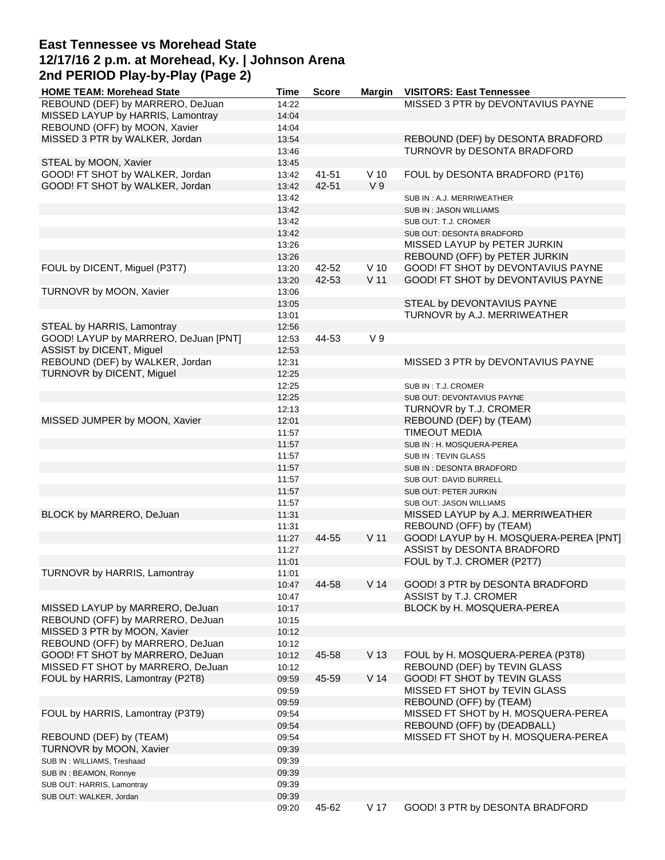### **East Tennessee vs Morehead State 12/17/16 2 p.m. at Morehead, Ky. | Johnson Arena 2nd PERIOD Play-by-Play (Page 2)**

| <b>HOME TEAM: Morehead State</b>     | Time  | <b>Score</b> | <b>Margin</b>   | <b>VISITORS: East Tennessee</b>        |
|--------------------------------------|-------|--------------|-----------------|----------------------------------------|
| REBOUND (DEF) by MARRERO, DeJuan     | 14:22 |              |                 | MISSED 3 PTR by DEVONTAVIUS PAYNE      |
| MISSED LAYUP by HARRIS, Lamontray    | 14:04 |              |                 |                                        |
| REBOUND (OFF) by MOON, Xavier        | 14:04 |              |                 |                                        |
| MISSED 3 PTR by WALKER, Jordan       | 13:54 |              |                 | REBOUND (DEF) by DESONTA BRADFORD      |
|                                      | 13:46 |              |                 | TURNOVR by DESONTA BRADFORD            |
| STEAL by MOON, Xavier                | 13:45 |              |                 |                                        |
| GOOD! FT SHOT by WALKER, Jordan      |       | $41 - 51$    | $V$ 10          | FOUL by DESONTA BRADFORD (P1T6)        |
|                                      | 13:42 |              |                 |                                        |
| GOOD! FT SHOT by WALKER, Jordan      | 13:42 | 42-51        | V <sub>9</sub>  |                                        |
|                                      | 13:42 |              |                 | SUB IN: A.J. MERRIWEATHER              |
|                                      | 13:42 |              |                 | SUB IN: JASON WILLIAMS                 |
|                                      | 13:42 |              |                 | SUB OUT: T.J. CROMER                   |
|                                      | 13:42 |              |                 | SUB OUT: DESONTA BRADFORD              |
|                                      | 13:26 |              |                 | MISSED LAYUP by PETER JURKIN           |
|                                      | 13:26 |              |                 | REBOUND (OFF) by PETER JURKIN          |
| FOUL by DICENT, Miguel (P3T7)        | 13:20 | 42-52        | $V$ 10          | GOOD! FT SHOT by DEVONTAVIUS PAYNE     |
|                                      | 13:20 | 42-53        | V <sub>11</sub> | GOOD! FT SHOT by DEVONTAVIUS PAYNE     |
|                                      |       |              |                 |                                        |
| TURNOVR by MOON, Xavier              | 13:06 |              |                 |                                        |
|                                      | 13:05 |              |                 | STEAL by DEVONTAVIUS PAYNE             |
|                                      | 13:01 |              |                 | TURNOVR by A.J. MERRIWEATHER           |
| STEAL by HARRIS, Lamontray           | 12:56 |              |                 |                                        |
| GOOD! LAYUP by MARRERO, DeJuan [PNT] | 12:53 | 44-53        | V <sub>9</sub>  |                                        |
| ASSIST by DICENT, Miguel             | 12:53 |              |                 |                                        |
| REBOUND (DEF) by WALKER, Jordan      | 12:31 |              |                 | MISSED 3 PTR by DEVONTAVIUS PAYNE      |
| TURNOVR by DICENT, Miguel            | 12:25 |              |                 |                                        |
|                                      | 12:25 |              |                 | SUB IN: T.J. CROMER                    |
|                                      | 12:25 |              |                 | SUB OUT: DEVONTAVIUS PAYNE             |
|                                      |       |              |                 |                                        |
|                                      | 12:13 |              |                 | TURNOVR by T.J. CROMER                 |
| MISSED JUMPER by MOON, Xavier        | 12:01 |              |                 | REBOUND (DEF) by (TEAM)                |
|                                      | 11:57 |              |                 | <b>TIMEOUT MEDIA</b>                   |
|                                      | 11:57 |              |                 | SUB IN : H. MOSQUERA-PEREA             |
|                                      | 11:57 |              |                 | SUB IN: TEVIN GLASS                    |
|                                      | 11:57 |              |                 | SUB IN: DESONTA BRADFORD               |
|                                      | 11:57 |              |                 | SUB OUT: DAVID BURRELL                 |
|                                      | 11:57 |              |                 | SUB OUT: PETER JURKIN                  |
|                                      | 11:57 |              |                 | SUB OUT: JASON WILLIAMS                |
| BLOCK by MARRERO, DeJuan             | 11:31 |              |                 | MISSED LAYUP by A.J. MERRIWEATHER      |
|                                      | 11:31 |              |                 | REBOUND (OFF) by (TEAM)                |
|                                      | 11:27 | 44-55        | V <sub>11</sub> | GOOD! LAYUP by H. MOSQUERA-PEREA [PNT] |
|                                      |       |              |                 |                                        |
|                                      | 11:27 |              |                 | ASSIST by DESONTA BRADFORD             |
|                                      | 11:01 |              |                 | FOUL by T.J. CROMER (P2T7)             |
| TURNOVR by HARRIS, Lamontray         | 11:01 |              |                 |                                        |
|                                      | 10:47 | 44-58        | V <sub>14</sub> | GOOD! 3 PTR by DESONTA BRADFORD        |
|                                      | 10:47 |              |                 | ASSIST by T.J. CROMER                  |
| MISSED LAYUP by MARRERO, DeJuan      | 10:17 |              |                 | BLOCK by H. MOSQUERA-PEREA             |
| REBOUND (OFF) by MARRERO, DeJuan     | 10:15 |              |                 |                                        |
| MISSED 3 PTR by MOON, Xavier         | 10:12 |              |                 |                                        |
| REBOUND (OFF) by MARRERO, DeJuan     | 10:12 |              |                 |                                        |
| GOOD! FT SHOT by MARRERO, DeJuan     | 10:12 | 45-58        | V <sub>13</sub> | FOUL by H. MOSQUERA-PEREA (P3T8)       |
| MISSED FT SHOT by MARRERO, DeJuan    | 10:12 |              |                 | REBOUND (DEF) by TEVIN GLASS           |
|                                      |       |              |                 |                                        |
| FOUL by HARRIS, Lamontray (P2T8)     | 09:59 | 45-59        | V <sub>14</sub> | GOOD! FT SHOT by TEVIN GLASS           |
|                                      | 09:59 |              |                 | MISSED FT SHOT by TEVIN GLASS          |
|                                      | 09:59 |              |                 | REBOUND (OFF) by (TEAM)                |
| FOUL by HARRIS, Lamontray (P3T9)     | 09:54 |              |                 | MISSED FT SHOT by H. MOSQUERA-PEREA    |
|                                      | 09:54 |              |                 | REBOUND (OFF) by (DEADBALL)            |
| REBOUND (DEF) by (TEAM)              | 09:54 |              |                 | MISSED FT SHOT by H. MOSQUERA-PEREA    |
| TURNOVR by MOON, Xavier              | 09:39 |              |                 |                                        |
| SUB IN: WILLIAMS, Treshaad           | 09:39 |              |                 |                                        |
| SUB IN: BEAMON, Ronnye               | 09:39 |              |                 |                                        |
|                                      |       |              |                 |                                        |
| SUB OUT: HARRIS, Lamontray           | 09:39 |              |                 |                                        |
| SUB OUT: WALKER, Jordan              | 09:39 |              |                 |                                        |
|                                      | 09:20 | 45-62        | V 17            | GOOD! 3 PTR by DESONTA BRADFORD        |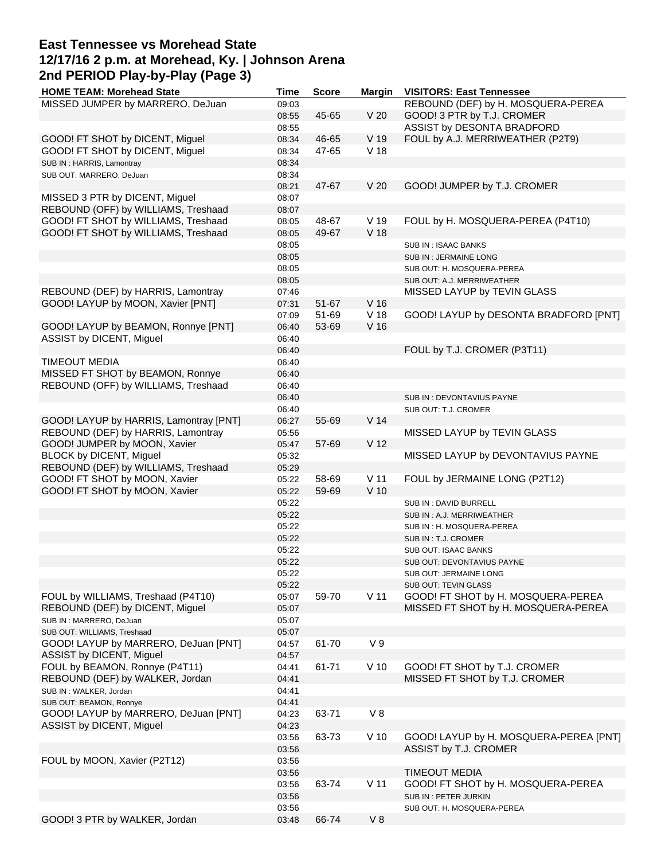# **East Tennessee vs Morehead State 12/17/16 2 p.m. at Morehead, Ky. | Johnson Arena 2nd PERIOD Play-by-Play (Page 3)**

| <b>HOME TEAM: Morehead State</b>       | Time  | <b>Score</b> | <b>Margin</b>   | <b>VISITORS: East Tennessee</b>        |
|----------------------------------------|-------|--------------|-----------------|----------------------------------------|
| MISSED JUMPER by MARRERO, DeJuan       | 09:03 |              |                 | REBOUND (DEF) by H. MOSQUERA-PEREA     |
|                                        | 08:55 | 45-65        | V <sub>20</sub> | GOOD! 3 PTR by T.J. CROMER             |
|                                        | 08:55 |              |                 | ASSIST by DESONTA BRADFORD             |
| GOOD! FT SHOT by DICENT, Miguel        | 08:34 | 46-65        | V 19            | FOUL by A.J. MERRIWEATHER (P2T9)       |
| GOOD! FT SHOT by DICENT, Miguel        | 08:34 | 47-65        | V <sub>18</sub> |                                        |
|                                        |       |              |                 |                                        |
| SUB IN: HARRIS, Lamontray              | 08:34 |              |                 |                                        |
| SUB OUT: MARRERO, DeJuan               | 08:34 |              |                 |                                        |
|                                        | 08:21 | 47-67        | V <sub>20</sub> | GOOD! JUMPER by T.J. CROMER            |
| MISSED 3 PTR by DICENT, Miguel         | 08:07 |              |                 |                                        |
| REBOUND (OFF) by WILLIAMS, Treshaad    | 08:07 |              |                 |                                        |
| GOOD! FT SHOT by WILLIAMS, Treshaad    | 08:05 | 48-67        | V 19            | FOUL by H. MOSQUERA-PEREA (P4T10)      |
| GOOD! FT SHOT by WILLIAMS, Treshaad    | 08:05 | 49-67        | V <sub>18</sub> |                                        |
|                                        | 08:05 |              |                 | SUB IN: ISAAC BANKS                    |
|                                        | 08:05 |              |                 | SUB IN: JERMAINE LONG                  |
|                                        | 08:05 |              |                 |                                        |
|                                        |       |              |                 | SUB OUT: H. MOSQUERA-PEREA             |
|                                        | 08:05 |              |                 | SUB OUT: A.J. MERRIWEATHER             |
| REBOUND (DEF) by HARRIS, Lamontray     | 07:46 |              |                 | MISSED LAYUP by TEVIN GLASS            |
| GOOD! LAYUP by MOON, Xavier [PNT]      | 07:31 | 51-67        | V <sub>16</sub> |                                        |
|                                        | 07:09 | 51-69        | V <sub>18</sub> | GOOD! LAYUP by DESONTA BRADFORD [PNT]  |
| GOOD! LAYUP by BEAMON, Ronnye [PNT]    | 06:40 | 53-69        | V <sub>16</sub> |                                        |
| ASSIST by DICENT, Miguel               | 06:40 |              |                 |                                        |
|                                        | 06:40 |              |                 | FOUL by T.J. CROMER (P3T11)            |
| <b>TIMEOUT MEDIA</b>                   | 06:40 |              |                 |                                        |
|                                        |       |              |                 |                                        |
| MISSED FT SHOT by BEAMON, Ronnye       | 06:40 |              |                 |                                        |
| REBOUND (OFF) by WILLIAMS, Treshaad    | 06:40 |              |                 |                                        |
|                                        | 06:40 |              |                 | SUB IN : DEVONTAVIUS PAYNE             |
|                                        | 06:40 |              |                 | SUB OUT: T.J. CROMER                   |
| GOOD! LAYUP by HARRIS, Lamontray [PNT] | 06:27 | 55-69        | V <sub>14</sub> |                                        |
| REBOUND (DEF) by HARRIS, Lamontray     | 05:56 |              |                 | MISSED LAYUP by TEVIN GLASS            |
| GOOD! JUMPER by MOON, Xavier           | 05:47 | 57-69        | V <sub>12</sub> |                                        |
| BLOCK by DICENT, Miguel                | 05:32 |              |                 | MISSED LAYUP by DEVONTAVIUS PAYNE      |
| REBOUND (DEF) by WILLIAMS, Treshaad    | 05:29 |              |                 |                                        |
|                                        |       |              |                 |                                        |
| GOOD! FT SHOT by MOON, Xavier          | 05:22 | 58-69        | V <sub>11</sub> | FOUL by JERMAINE LONG (P2T12)          |
| GOOD! FT SHOT by MOON, Xavier          | 05:22 | 59-69        | $V$ 10          |                                        |
|                                        | 05:22 |              |                 | SUB IN: DAVID BURRELL                  |
|                                        | 05:22 |              |                 | SUB IN : A.J. MERRIWEATHER             |
|                                        | 05:22 |              |                 | SUB IN : H. MOSQUERA-PEREA             |
|                                        | 05:22 |              |                 | SUB IN : T.J. CROMER                   |
|                                        | 05:22 |              |                 | SUB OUT: ISAAC BANKS                   |
|                                        | 05:22 |              |                 | SUB OUT: DEVONTAVIUS PAYNE             |
|                                        | 05:22 |              |                 | SUB OUT: JERMAINE LONG                 |
|                                        | 05:22 |              |                 | <b>SUB OUT: TEVIN GLASS</b>            |
| FOUL by WILLIAMS, Treshaad (P4T10)     |       |              | V <sub>11</sub> |                                        |
|                                        | 05:07 | 59-70        |                 | GOOD! FT SHOT by H. MOSQUERA-PEREA     |
| REBOUND (DEF) by DICENT, Miguel        | 05:07 |              |                 | MISSED FT SHOT by H. MOSQUERA-PEREA    |
| SUB IN : MARRERO, DeJuan               | 05:07 |              |                 |                                        |
| SUB OUT: WILLIAMS, Treshaad            | 05:07 |              |                 |                                        |
| GOOD! LAYUP by MARRERO, DeJuan [PNT]   | 04:57 | 61-70        | V <sub>9</sub>  |                                        |
| ASSIST by DICENT, Miguel               | 04:57 |              |                 |                                        |
| FOUL by BEAMON, Ronnye (P4T11)         | 04:41 | 61-71        | $V$ 10          | GOOD! FT SHOT by T.J. CROMER           |
| REBOUND (DEF) by WALKER, Jordan        | 04:41 |              |                 | MISSED FT SHOT by T.J. CROMER          |
| SUB IN : WALKER, Jordan                | 04:41 |              |                 |                                        |
| SUB OUT: BEAMON, Ronnye                | 04:41 |              |                 |                                        |
|                                        |       |              | $V_8$           |                                        |
| GOOD! LAYUP by MARRERO, DeJuan [PNT]   | 04:23 | 63-71        |                 |                                        |
| ASSIST by DICENT, Miguel               | 04:23 |              |                 |                                        |
|                                        | 03:56 | 63-73        | $V$ 10          | GOOD! LAYUP by H. MOSQUERA-PEREA [PNT] |
|                                        | 03:56 |              |                 | ASSIST by T.J. CROMER                  |
| FOUL by MOON, Xavier (P2T12)           | 03:56 |              |                 |                                        |
|                                        | 03:56 |              |                 | <b>TIMEOUT MEDIA</b>                   |
|                                        | 03:56 | 63-74        | V <sub>11</sub> | GOOD! FT SHOT by H. MOSQUERA-PEREA     |
|                                        | 03:56 |              |                 | SUB IN: PETER JURKIN                   |
|                                        | 03:56 |              |                 | SUB OUT: H. MOSQUERA-PEREA             |
| GOOD! 3 PTR by WALKER, Jordan          | 03:48 | 66-74        | $V_8$           |                                        |
|                                        |       |              |                 |                                        |